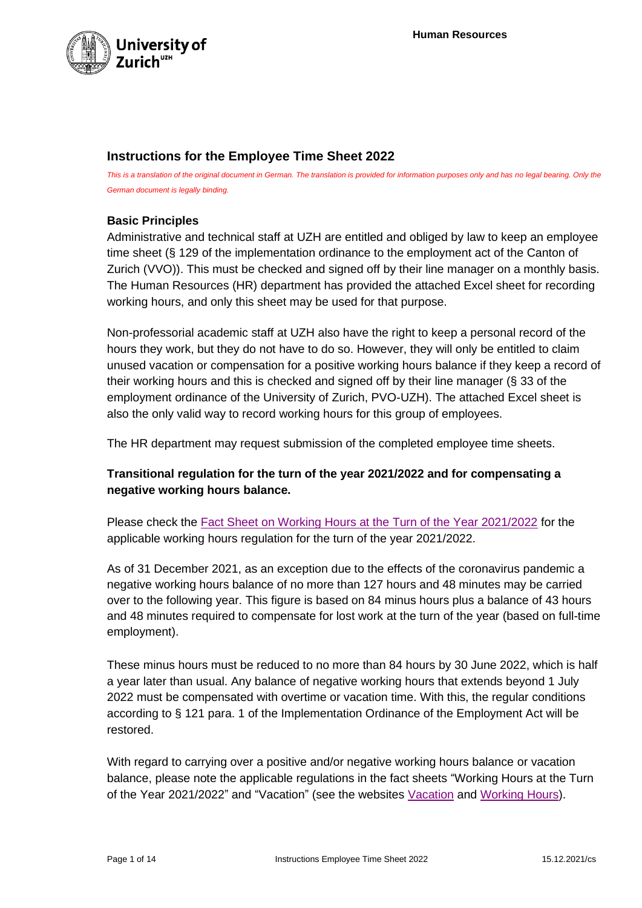

## **Instructions for the Employee Time Sheet 2022**

This is a translation of the original document in German. The translation is provided for information purposes only and has no legal bearing. Only the *German document is legally binding.*

## **Basic Principles**

Administrative and technical staff at UZH are entitled and obliged by law to keep an employee time sheet (§ 129 of the implementation ordinance to the employment act of the Canton of Zurich (VVO)). This must be checked and signed off by their line manager on a monthly basis. The Human Resources (HR) department has provided the attached Excel sheet for recording working hours, and only this sheet may be used for that purpose.

Non-professorial academic staff at UZH also have the right to keep a personal record of the hours they work, but they do not have to do so. However, they will only be entitled to claim unused vacation or compensation for a positive working hours balance if they keep a record of their working hours and this is checked and signed off by their line manager (§ 33 of the employment ordinance of the University of Zurich, PVO-UZH). The attached Excel sheet is also the only valid way to record working hours for this group of employees.

The HR department may request submission of the completed employee time sheets.

## **Transitional regulation for the turn of the year 2021/2022 and for compensating a negative working hours balance.**

Please check the [Fact Sheet on Working Hours at the Turn of the Year 2021/2022](https://www.staff.uzh.ch/en/personal/working-hours-absences/working-hours.html) for the applicable working hours regulation for the turn of the year 2021/2022.

As of 31 December 2021, as an exception due to the effects of the coronavirus pandemic a negative working hours balance of no more than 127 hours and 48 minutes may be carried over to the following year. This figure is based on 84 minus hours plus a balance of 43 hours and 48 minutes required to compensate for lost work at the turn of the year (based on full-time employment).

These minus hours must be reduced to no more than 84 hours by 30 June 2022, which is half a year later than usual. Any balance of negative working hours that extends beyond 1 July 2022 must be compensated with overtime or vacation time. With this, the regular conditions according to § 121 para. 1 of the Implementation Ordinance of the Employment Act will be restored.

With regard to carrying over a positive and/or negative working hours balance or vacation balance, please note the applicable regulations in the fact sheets "Working Hours at the Turn of the Year 2021/2022" and "Vacation" (see the websites [Vacation](https://www.staff.uzh.ch/en/personal/working-hours-absences/absences/vacation.html) and [Working Hours\)](https://www.staff.uzh.ch/en/personal/working-hours-absences/working-hours.html).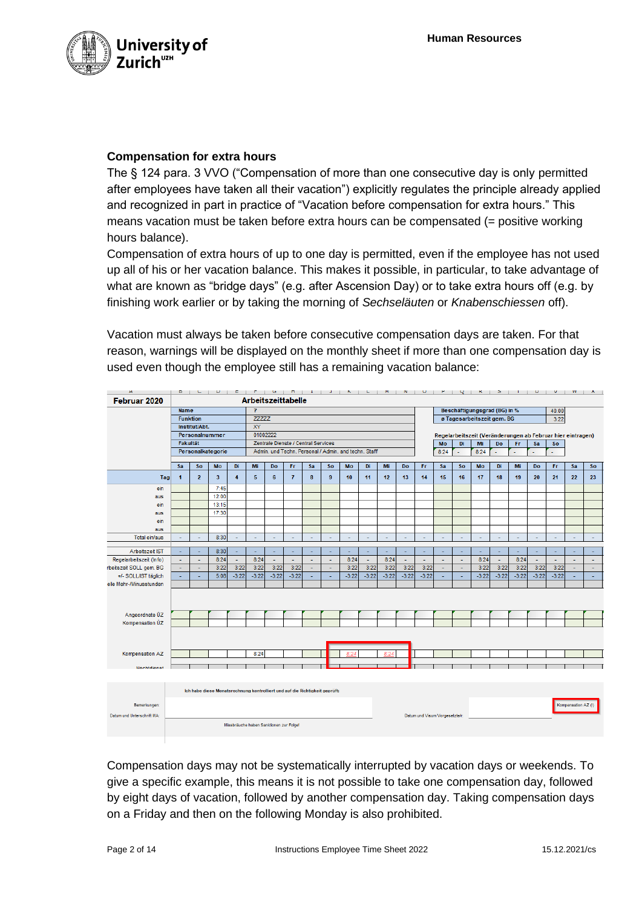

## **Compensation for extra hours**

The § 124 para. 3 VVO ("Compensation of more than one consecutive day is only permitted after employees have taken all their vacation") explicitly regulates the principle already applied and recognized in part in practice of "Vacation before compensation for extra hours." This means vacation must be taken before extra hours can be compensated (= positive working hours balance).

Compensation of extra hours of up to one day is permitted, even if the employee has not used up all of his or her vacation balance. This makes it possible, in particular, to take advantage of what are known as "bridge days" (e.g. after Ascension Day) or to take extra hours off (e.g. by finishing work earlier or by taking the morning of *Sechseläuten* or *Knabenschiessen* off).

Vacation must always be taken before consecutive compensation days are taken. For that reason, warnings will be displayed on the monthly sheet if more than one compensation day is used even though the employee still has a remaining vacation balance:

| Α                          |                                         |                | $D$ $U$ $U$                                                                 |          |                                                      |                         |                |        |                          |         |         |                 |         |         |                                       |                                                            | $\mathbf{r} + \mathbf{Q} + \mathbf{K} + \mathbf{S} + \mathbf{I} + \mathbf{V} + \mathbf{V} + \mathbf{W} + \mathbf{S}$ |         |                          |         |         |                     | $\mathbf{A}$             |
|----------------------------|-----------------------------------------|----------------|-----------------------------------------------------------------------------|----------|------------------------------------------------------|-------------------------|----------------|--------|--------------------------|---------|---------|-----------------|---------|---------|---------------------------------------|------------------------------------------------------------|----------------------------------------------------------------------------------------------------------------------|---------|--------------------------|---------|---------|---------------------|--------------------------|
| Februar 2020               |                                         |                |                                                                             |          |                                                      | Arbeitszeittabelle      |                |        |                          |         |         |                 |         |         |                                       |                                                            |                                                                                                                      |         |                          |         |         |                     |                          |
|                            | <b>Name</b>                             |                |                                                                             |          |                                                      | $\overline{\mathbf{?}}$ |                |        |                          |         |         |                 |         |         | Beschäftigungsgrad (BG) in %<br>40.00 |                                                            |                                                                                                                      |         |                          |         |         |                     |                          |
|                            | <b>Funktion</b>                         |                |                                                                             |          | <b>ZZZZZZ</b>                                        |                         |                |        |                          |         |         |                 |         |         | ø Tagesarbeitszeit gem. BG<br>3:22    |                                                            |                                                                                                                      |         |                          |         |         |                     |                          |
|                            | Institut/Abt.                           |                |                                                                             |          |                                                      | XY                      |                |        |                          |         |         |                 |         |         |                                       |                                                            |                                                                                                                      |         |                          |         |         |                     |                          |
|                            |                                         |                | Personalnummer                                                              |          | 01002222                                             |                         |                |        |                          |         |         |                 |         |         |                                       | Regelarbeitszeit (Veränderungen ab Februar hier eintragen) |                                                                                                                      |         |                          |         |         |                     |                          |
|                            | <b>Fakultät</b>                         |                |                                                                             |          | Zentrale Dienste / Central Services                  |                         |                |        |                          |         |         |                 |         |         | Mo                                    | Di                                                         | Mi                                                                                                                   | Do      | Fr                       | Sa      | So      |                     |                          |
|                            |                                         |                | Personalkategorie                                                           |          | Admin, und Techn, Personal / Admin, and techn, Staff |                         |                |        |                          |         |         |                 |         |         | 8:24                                  | u                                                          | 8:24                                                                                                                 | ä,      | $\overline{\phantom{a}}$ | ä,      | ÷       |                     |                          |
|                            | Sa                                      | So             | Mo                                                                          | Di       | Mi                                                   | Do                      | Fr             | Sa     |                          |         | Di      | Mi              | Do      | Fr      | Sa                                    | So                                                         | Mo                                                                                                                   | Di      |                          |         | Fr      | Sa                  | So                       |
|                            |                                         |                |                                                                             |          |                                                      |                         |                |        | So                       | Mo      |         |                 |         |         |                                       |                                                            |                                                                                                                      |         | Mi                       | Do      |         |                     |                          |
| Tag                        | $\blacksquare$                          | $\overline{2}$ | $\overline{\mathbf{3}}$<br>7:45                                             | 4        | 5                                                    | 6                       | $\overline{7}$ | 8      | 9                        | 10      | 11      | 12 <sub>2</sub> | 13      | 14      | 15                                    | 16                                                         | 17                                                                                                                   | 18      | 19                       | 20      | 21      | 22                  | 23                       |
| ein                        |                                         |                | 12:00                                                                       |          |                                                      |                         |                |        |                          |         |         |                 |         |         |                                       |                                                            |                                                                                                                      |         |                          |         |         |                     |                          |
| aus                        |                                         |                |                                                                             |          |                                                      |                         |                |        |                          |         |         |                 |         |         |                                       |                                                            |                                                                                                                      |         |                          |         |         |                     |                          |
| ein                        |                                         |                | 13:15                                                                       |          |                                                      |                         |                |        |                          |         |         |                 |         |         |                                       |                                                            |                                                                                                                      |         |                          |         |         |                     |                          |
| aus                        |                                         |                | 17:30                                                                       |          |                                                      |                         |                |        |                          |         |         |                 |         |         |                                       |                                                            |                                                                                                                      |         |                          |         |         |                     |                          |
| ein                        |                                         |                |                                                                             |          |                                                      |                         |                |        |                          |         |         |                 |         |         |                                       |                                                            |                                                                                                                      |         |                          |         |         |                     |                          |
| aus                        |                                         |                |                                                                             |          |                                                      |                         |                |        |                          |         |         |                 |         |         |                                       |                                                            |                                                                                                                      |         |                          |         |         |                     |                          |
| Total ein/aus              |                                         | ÷              | 8:30                                                                        | ÷,       | ٠                                                    | ٠                       | ÷              | $\sim$ | ٠                        | ٠       | $\sim$  | ÷               | $\sim$  | ٠       | $\omega$                              | $\overline{\phantom{a}}$                                   | ٠                                                                                                                    | ٠       | $\sim$                   | $\sim$  | $\sim$  | ٠                   | $\sim$                   |
| Arbeitszeit IST            |                                         |                | 8:30                                                                        | ÷        | $\overline{\phantom{a}}$                             |                         |                |        |                          |         |         |                 |         |         | ÷                                     | ÷                                                          |                                                                                                                      |         |                          | ÷       |         |                     |                          |
| Regelarbeitszeit (Info)    | ÷                                       | ÷              | 8:24                                                                        | $\omega$ | 8:24                                                 | ÷.                      | ÷              | L,     | ÷                        | 8:24    | ÷.      | 8:24            | $\sim$  | ÷.      | ÷                                     | ÷                                                          | 8:24                                                                                                                 | ÷       | 8:24                     | ÷       | ÷       | ä,                  | ÷                        |
| rbeitszeit SOLL gem. BG    | $\sim$                                  | ÷              | 3:22                                                                        | 3:22     | 3:22                                                 | 3:22                    | 3:22           | ٠      | $\overline{\phantom{a}}$ | 3:22    | 3:22    | 3:22            | 3:22    | 3:22    | $\omega$                              | $\blacksquare$                                             | 3:22                                                                                                                 | 3:22    | 3:22                     | 3:22    | 3:22    | ٠                   | $\overline{\phantom{a}}$ |
| +/- SOLL/IST täglich       |                                         | ÷.             | 5:08                                                                        | $-3:22$  | $-3:22$                                              | $-3:22$                 | $-3:22$        | ÷      | ÷                        | $-3:22$ | $-3:22$ | $-3:22$         | $-3:22$ | $-3:22$ | ×.                                    | ÷                                                          | $-3:22$                                                                                                              | $-3:22$ | $-3:22$                  | $-3:22$ | $-3:22$ | ÷                   | ÷.                       |
| elle Mehr-/Minusstunden    |                                         |                |                                                                             |          |                                                      |                         |                |        |                          |         |         |                 |         |         |                                       |                                                            |                                                                                                                      |         |                          |         |         |                     |                          |
|                            |                                         |                |                                                                             |          |                                                      |                         |                |        |                          |         |         |                 |         |         |                                       |                                                            |                                                                                                                      |         |                          |         |         |                     |                          |
| Angeordnete ÜZ             |                                         |                |                                                                             |          |                                                      |                         |                |        |                          |         |         |                 |         |         |                                       |                                                            |                                                                                                                      |         |                          |         |         |                     |                          |
| Kompensation UZ            |                                         |                |                                                                             |          |                                                      |                         |                |        |                          |         |         |                 |         |         |                                       |                                                            |                                                                                                                      |         |                          |         |         |                     |                          |
|                            |                                         |                |                                                                             |          |                                                      |                         |                |        |                          |         |         |                 |         |         |                                       |                                                            |                                                                                                                      |         |                          |         |         |                     |                          |
| Kompensation AZ            |                                         |                |                                                                             |          | 8:24                                                 |                         |                |        |                          | 8:24    |         | 8:24            |         |         |                                       |                                                            |                                                                                                                      |         |                          |         |         |                     |                          |
| Nachtdienst                |                                         |                |                                                                             |          |                                                      |                         |                |        |                          |         |         |                 |         |         |                                       |                                                            |                                                                                                                      |         |                          |         |         |                     |                          |
|                            |                                         |                | Ich habe diese Monatsrechnung kontrolliert und auf die Richtigkeit geprüft: |          |                                                      |                         |                |        |                          |         |         |                 |         |         |                                       |                                                            |                                                                                                                      |         |                          |         |         |                     |                          |
|                            |                                         |                |                                                                             |          |                                                      |                         |                |        |                          |         |         |                 |         |         |                                       |                                                            |                                                                                                                      |         |                          |         |         |                     |                          |
| Bemerkungen:               |                                         |                |                                                                             |          |                                                      |                         |                |        |                          |         |         |                 |         |         |                                       |                                                            |                                                                                                                      |         |                          |         |         | Kompensation AZ (!) |                          |
| Datum und Unterschrift MA: | Datum und Visum Vorgesetzte/r:          |                |                                                                             |          |                                                      |                         |                |        |                          |         |         |                 |         |         |                                       |                                                            |                                                                                                                      |         |                          |         |         |                     |                          |
|                            | Missbräuche haben Sanktionen zur Folge! |                |                                                                             |          |                                                      |                         |                |        |                          |         |         |                 |         |         |                                       |                                                            |                                                                                                                      |         |                          |         |         |                     |                          |

Compensation days may not be systematically interrupted by vacation days or weekends. To give a specific example, this means it is not possible to take one compensation day, followed by eight days of vacation, followed by another compensation day. Taking compensation days on a Friday and then on the following Monday is also prohibited.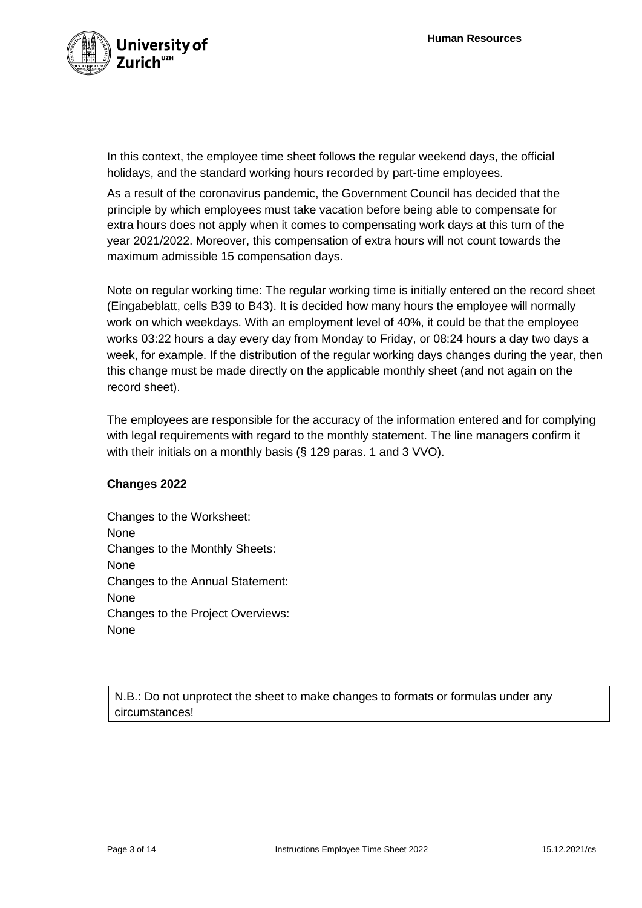

In this context, the employee time sheet follows the regular weekend days, the official holidays, and the standard working hours recorded by part-time employees.

As a result of the coronavirus pandemic, the Government Council has decided that the principle by which employees must take vacation before being able to compensate for extra hours does not apply when it comes to compensating work days at this turn of the year 2021/2022. Moreover, this compensation of extra hours will not count towards the maximum admissible 15 compensation days.

Note on regular working time: The regular working time is initially entered on the record sheet (Eingabeblatt, cells B39 to B43). It is decided how many hours the employee will normally work on which weekdays. With an employment level of 40%, it could be that the employee works 03:22 hours a day every day from Monday to Friday, or 08:24 hours a day two days a week, for example. If the distribution of the regular working days changes during the year, then this change must be made directly on the applicable monthly sheet (and not again on the record sheet).

The employees are responsible for the accuracy of the information entered and for complying with legal requirements with regard to the monthly statement. The line managers confirm it with their initials on a monthly basis (§ 129 paras. 1 and 3 VVO).

#### **Changes 2022**

Changes to the Worksheet: None Changes to the Monthly Sheets: None Changes to the Annual Statement: None Changes to the Project Overviews: None

N.B.: Do not unprotect the sheet to make changes to formats or formulas under any circumstances!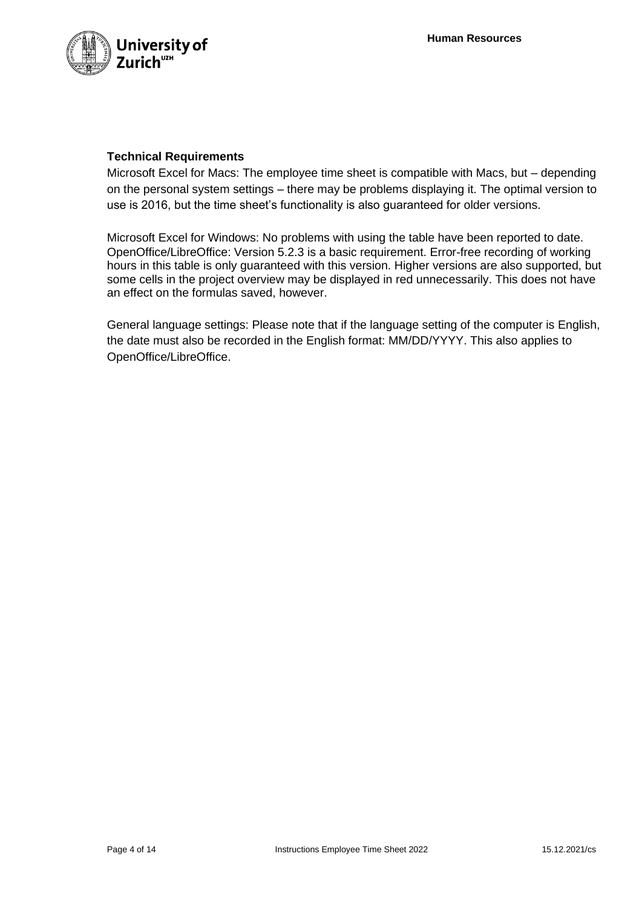

## **Technical Requirements**

Microsoft Excel for Macs: The employee time sheet is compatible with Macs, but – depending on the personal system settings – there may be problems displaying it. The optimal version to use is 2016, but the time sheet's functionality is also guaranteed for older versions.

Microsoft Excel for Windows: No problems with using the table have been reported to date. OpenOffice/LibreOffice: Version 5.2.3 is a basic requirement. Error-free recording of working hours in this table is only guaranteed with this version. Higher versions are also supported, but some cells in the project overview may be displayed in red unnecessarily. This does not have an effect on the formulas saved, however.

General language settings: Please note that if the language setting of the computer is English, the date must also be recorded in the English format: MM/DD/YYYY. This also applies to OpenOffice/LibreOffice.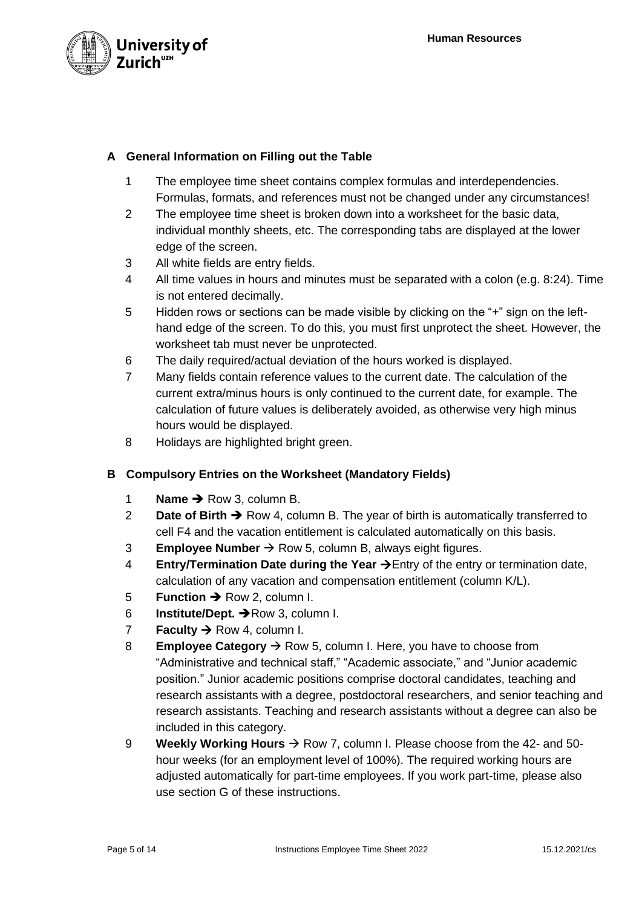

## **A General Information on Filling out the Table**

- 1 The employee time sheet contains complex formulas and interdependencies. Formulas, formats, and references must not be changed under any circumstances!
- 2 The employee time sheet is broken down into a worksheet for the basic data, individual monthly sheets, etc. The corresponding tabs are displayed at the lower edge of the screen.
- 3 All white fields are entry fields.
- 4 All time values in hours and minutes must be separated with a colon (e.g. 8:24). Time is not entered decimally.
- 5 Hidden rows or sections can be made visible by clicking on the "+" sign on the lefthand edge of the screen. To do this, you must first unprotect the sheet. However, the worksheet tab must never be unprotected.
- 6 The daily required/actual deviation of the hours worked is displayed.
- 7 Many fields contain reference values to the current date. The calculation of the current extra/minus hours is only continued to the current date, for example. The calculation of future values is deliberately avoided, as otherwise very high minus hours would be displayed.
- 8 Holidays are highlighted bright green.

## **B Compulsory Entries on the Worksheet (Mandatory Fields)**

- 1 **Name** ➔ Row 3, column B.
- 2 **Date of Birth** ➔ Row 4, column B. The year of birth is automatically transferred to cell F4 and the vacation entitlement is calculated automatically on this basis.
- 3 **Employee Number** → Row 5, column B, always eight figures.
- 4 **Entry/Termination Date during the Year** →Entry of the entry or termination date, calculation of any vacation and compensation entitlement (column K/L).
- 5 **Function** ➔ Row 2, column I.
- 6 **Institute/Dept.** ➔Row 3, column I.
- **Faculty**  $\rightarrow$  **Row 4, column I.**
- 8 **Employee Category** → Row 5, column I. Here, you have to choose from "Administrative and technical staff," "Academic associate," and "Junior academic position." Junior academic positions comprise doctoral candidates, teaching and research assistants with a degree, postdoctoral researchers, and senior teaching and research assistants. Teaching and research assistants without a degree can also be included in this category.
- 9 **Weekly Working Hours**  $\rightarrow$  Row 7, column I. Please choose from the 42- and 50hour weeks (for an employment level of 100%). The required working hours are adjusted automatically for part-time employees. If you work part-time, please also use section G of these instructions.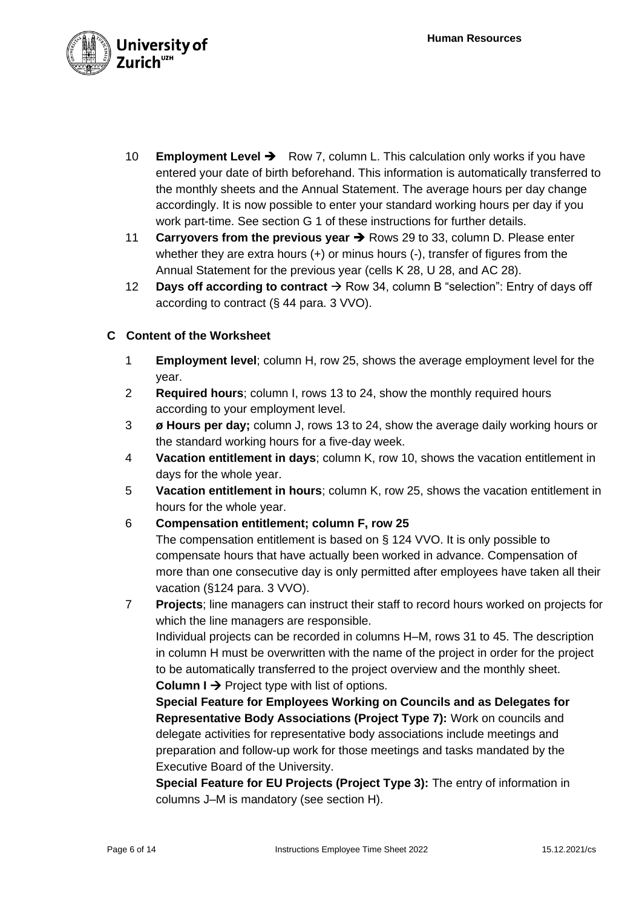

- 10 **Employment Level** ➔ Row 7, column L. This calculation only works if you have entered your date of birth beforehand. This information is automatically transferred to the monthly sheets and the Annual Statement. The average hours per day change accordingly. It is now possible to enter your standard working hours per day if you work part-time. See section G 1 of these instructions for further details.
- 11 **Carryovers from the previous year** ➔ Rows 29 to 33, column D. Please enter whether they are extra hours (+) or minus hours (-), transfer of figures from the Annual Statement for the previous year (cells K 28, U 28, and AC 28).
- 12 **Days off according to contract** → Row 34, column B "selection": Entry of days off according to contract (§ 44 para. 3 VVO).

## **C Content of the Worksheet**

- 1 **Employment level**; column H, row 25, shows the average employment level for the year.
- 2 **Required hours**; column I, rows 13 to 24, show the monthly required hours according to your employment level.
- 3 **ø Hours per day;** column J, rows 13 to 24, show the average daily working hours or the standard working hours for a five-day week.
- 4 **Vacation entitlement in days**; column K, row 10, shows the vacation entitlement in days for the whole year.
- 5 **Vacation entitlement in hours**; column K, row 25, shows the vacation entitlement in hours for the whole year.
- 6 **Compensation entitlement; column F, row 25**

The compensation entitlement is based on § 124 VVO. It is only possible to compensate hours that have actually been worked in advance. Compensation of more than one consecutive day is only permitted after employees have taken all their vacation (§124 para. 3 VVO).

7 **Projects**; line managers can instruct their staff to record hours worked on projects for which the line managers are responsible.

Individual projects can be recorded in columns H–M, rows 31 to 45. The description in column H must be overwritten with the name of the project in order for the project to be automatically transferred to the project overview and the monthly sheet. Column I → Project type with list of options.

**Special Feature for Employees Working on Councils and as Delegates for Representative Body Associations (Project Type 7):** Work on councils and delegate activities for representative body associations include meetings and preparation and follow-up work for those meetings and tasks mandated by the Executive Board of the University.

**Special Feature for EU Projects (Project Type 3):** The entry of information in columns J–M is mandatory (see section H).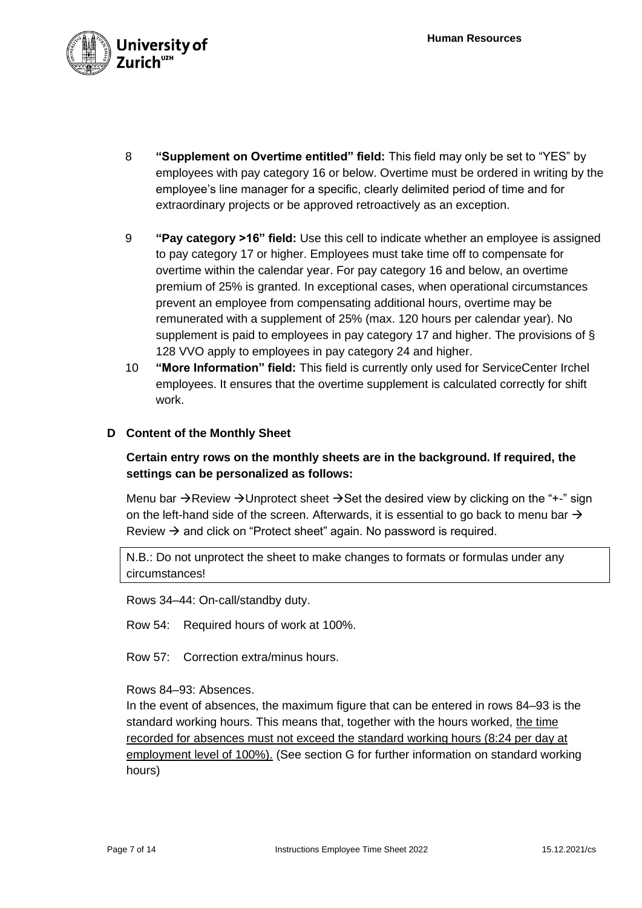

- 8 **"Supplement on Overtime entitled" field:** This field may only be set to "YES" by employees with pay category 16 or below. Overtime must be ordered in writing by the employee's line manager for a specific, clearly delimited period of time and for extraordinary projects or be approved retroactively as an exception.
- 9 **"Pay category >16" field:** Use this cell to indicate whether an employee is assigned to pay category 17 or higher. Employees must take time off to compensate for overtime within the calendar year. For pay category 16 and below, an overtime premium of 25% is granted. In exceptional cases, when operational circumstances prevent an employee from compensating additional hours, overtime may be remunerated with a supplement of 25% (max. 120 hours per calendar year). No supplement is paid to employees in pay category 17 and higher. The provisions of § 128 VVO apply to employees in pay category 24 and higher.
- 10 **"More Information" field:** This field is currently only used for ServiceCenter Irchel employees. It ensures that the overtime supplement is calculated correctly for shift work.

#### **D Content of the Monthly Sheet**

## **Certain entry rows on the monthly sheets are in the background. If required, the settings can be personalized as follows:**

Menu bar  $\rightarrow$ Review  $\rightarrow$ Unprotect sheet  $\rightarrow$ Set the desired view by clicking on the "+-" sign on the left-hand side of the screen. Afterwards, it is essential to go back to menu bar  $\rightarrow$ Review  $\rightarrow$  and click on "Protect sheet" again. No password is required.

N.B.: Do not unprotect the sheet to make changes to formats or formulas under any circumstances!

Rows 34–44: On-call/standby duty.

Row 54: Required hours of work at 100%.

Row 57: Correction extra/minus hours.

## Rows 84–93: Absences.

In the event of absences, the maximum figure that can be entered in rows 84–93 is the standard working hours. This means that, together with the hours worked, the time recorded for absences must not exceed the standard working hours (8:24 per day at employment level of 100%). (See section G for further information on standard working hours)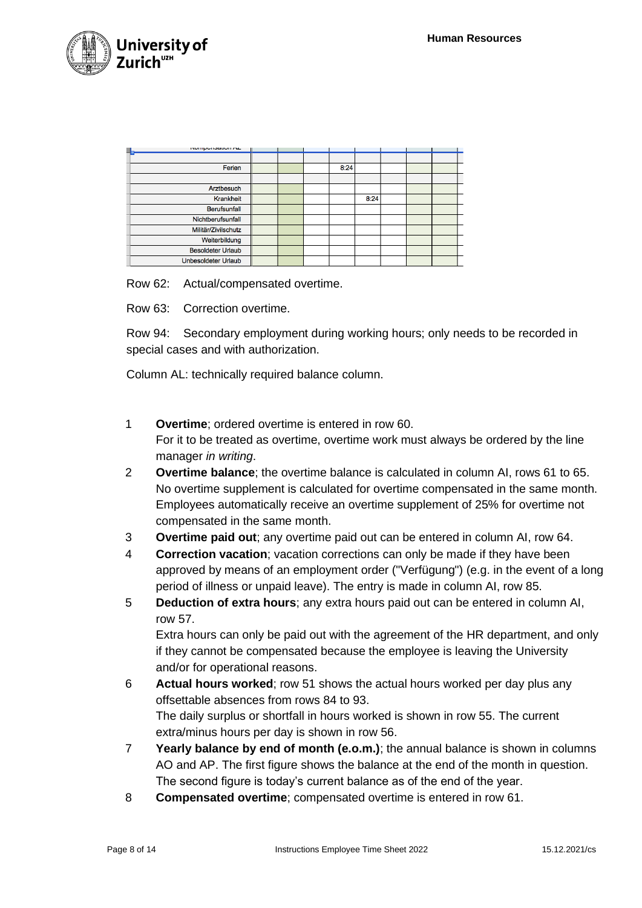

| <b>INTERVISORIUM FILE</b> |  |      |      |  |  |
|---------------------------|--|------|------|--|--|
|                           |  |      |      |  |  |
| Ferien                    |  | 8:24 |      |  |  |
|                           |  |      |      |  |  |
| Arztbesuch                |  |      |      |  |  |
| Krankheit                 |  |      | 8:24 |  |  |
| <b>Berufsunfall</b>       |  |      |      |  |  |
| Nichtberufsunfall         |  |      |      |  |  |
| Militär/Zivilschutz       |  |      |      |  |  |
| Weiterbildung             |  |      |      |  |  |
| <b>Besoldeter Urlaub</b>  |  |      |      |  |  |
| Unbesoldeter Urlaub       |  |      |      |  |  |

Row 62: Actual/compensated overtime.

Row 63: Correction overtime.

Row 94: Secondary employment during working hours; only needs to be recorded in special cases and with authorization.

Column AL: technically required balance column.

- 1 **Overtime**; ordered overtime is entered in row 60. For it to be treated as overtime, overtime work must always be ordered by the line manager *in writing*.
- 2 **Overtime balance**; the overtime balance is calculated in column AI, rows 61 to 65. No overtime supplement is calculated for overtime compensated in the same month. Employees automatically receive an overtime supplement of 25% for overtime not compensated in the same month.
- 3 **Overtime paid out**; any overtime paid out can be entered in column AI, row 64.
- 4 **Correction vacation**; vacation corrections can only be made if they have been approved by means of an employment order ("Verfügung") (e.g. in the event of a long period of illness or unpaid leave). The entry is made in column AI, row 85.
- 5 **Deduction of extra hours**; any extra hours paid out can be entered in column AI, row 57.

Extra hours can only be paid out with the agreement of the HR department, and only if they cannot be compensated because the employee is leaving the University and/or for operational reasons.

- 6 **Actual hours worked**; row 51 shows the actual hours worked per day plus any offsettable absences from rows 84 to 93. The daily surplus or shortfall in hours worked is shown in row 55. The current extra/minus hours per day is shown in row 56.
- 7 **Yearly balance by end of month (e.o.m.)**; the annual balance is shown in columns AO and AP. The first figure shows the balance at the end of the month in question. The second figure is today's current balance as of the end of the year.
- 8 **Compensated overtime**; compensated overtime is entered in row 61.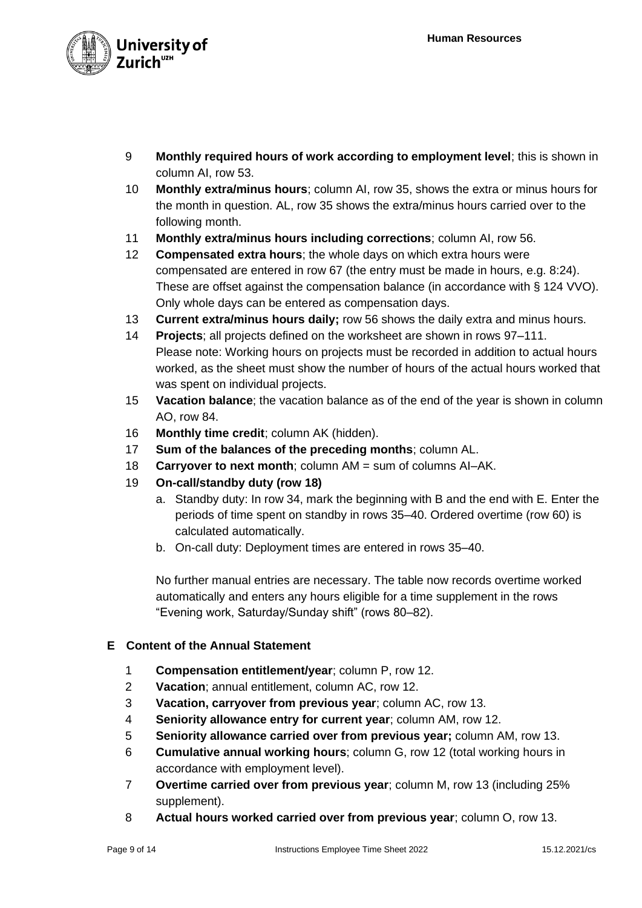

- 9 **Monthly required hours of work according to employment level**; this is shown in column AI, row 53.
- 10 **Monthly extra/minus hours**; column AI, row 35, shows the extra or minus hours for the month in question. AL, row 35 shows the extra/minus hours carried over to the following month.
- 11 **Monthly extra/minus hours including corrections**; column AI, row 56.
- 12 **Compensated extra hours**; the whole days on which extra hours were compensated are entered in row 67 (the entry must be made in hours, e.g. 8:24). These are offset against the compensation balance (in accordance with § 124 VVO). Only whole days can be entered as compensation days.
- 13 **Current extra/minus hours daily;** row 56 shows the daily extra and minus hours.
- 14 **Projects**; all projects defined on the worksheet are shown in rows 97–111. Please note: Working hours on projects must be recorded in addition to actual hours worked, as the sheet must show the number of hours of the actual hours worked that was spent on individual projects.
- 15 **Vacation balance**; the vacation balance as of the end of the year is shown in column AO, row 84.
- 16 **Monthly time credit**; column AK (hidden).
- 17 **Sum of the balances of the preceding months**; column AL.
- 18 **Carryover to next month**; column AM = sum of columns AI–AK.
- 19 **On-call/standby duty (row 18)**
	- a. Standby duty: In row 34, mark the beginning with B and the end with E. Enter the periods of time spent on standby in rows 35–40. Ordered overtime (row 60) is calculated automatically.
	- b. On-call duty: Deployment times are entered in rows 35–40.

No further manual entries are necessary. The table now records overtime worked automatically and enters any hours eligible for a time supplement in the rows "Evening work, Saturday/Sunday shift" (rows 80–82).

## **E Content of the Annual Statement**

- 1 **Compensation entitlement/year**; column P, row 12.
- 2 **Vacation**; annual entitlement, column AC, row 12.
- 3 **Vacation, carryover from previous year**; column AC, row 13.
- 4 **Seniority allowance entry for current year**; column AM, row 12.
- 5 **Seniority allowance carried over from previous year;** column AM, row 13.
- 6 **Cumulative annual working hours**; column G, row 12 (total working hours in accordance with employment level).
- 7 **Overtime carried over from previous year**; column M, row 13 (including 25% supplement).
- 8 **Actual hours worked carried over from previous year**; column O, row 13.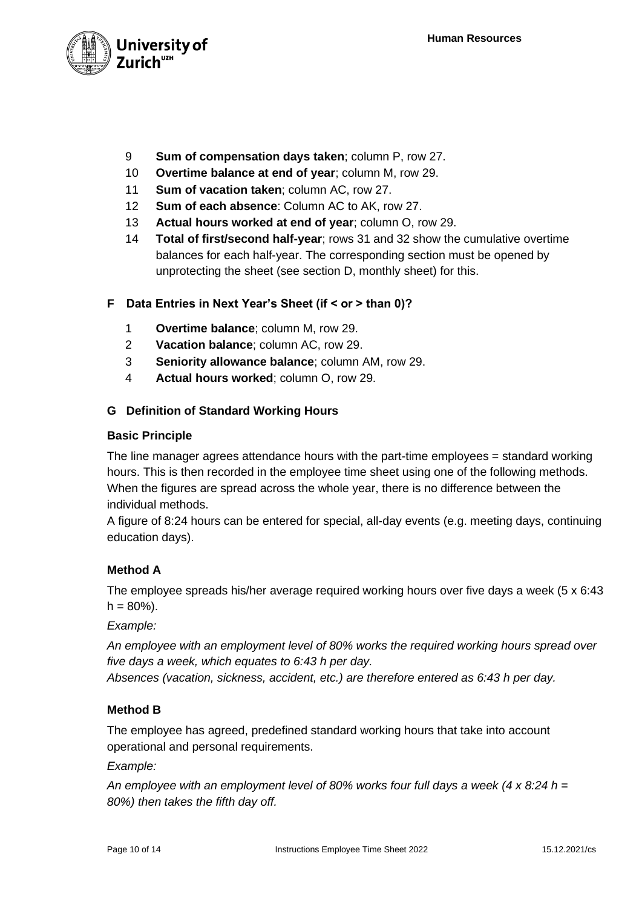

- 9 **Sum of compensation days taken**; column P, row 27.
- 10 **Overtime balance at end of year**; column M, row 29.
- 11 **Sum of vacation taken**; column AC, row 27.
- 12 **Sum of each absence**: Column AC to AK, row 27.
- 13 **Actual hours worked at end of year**; column O, row 29.
- 14 **Total of first/second half-year**; rows 31 and 32 show the cumulative overtime balances for each half-year. The corresponding section must be opened by unprotecting the sheet (see section D, monthly sheet) for this.

## **F Data Entries in Next Year's Sheet (if < or > than 0)?**

- 1 **Overtime balance**; column M, row 29.
- 2 **Vacation balance**; column AC, row 29.
- 3 **Seniority allowance balance**; column AM, row 29.
- 4 **Actual hours worked**; column O, row 29.

## **G Definition of Standard Working Hours**

#### **Basic Principle**

The line manager agrees attendance hours with the part-time employees = standard working hours. This is then recorded in the employee time sheet using one of the following methods. When the figures are spread across the whole year, there is no difference between the individual methods.

A figure of 8:24 hours can be entered for special, all-day events (e.g. meeting days, continuing education days).

## **Method A**

The employee spreads his/her average required working hours over five days a week (5 x 6:43  $h = 80\%$ ).

## *Example:*

*An employee with an employment level of 80% works the required working hours spread over five days a week, which equates to 6:43 h per day.*

*Absences (vacation, sickness, accident, etc.) are therefore entered as 6:43 h per day.*

## **Method B**

The employee has agreed, predefined standard working hours that take into account operational and personal requirements.

## *Example:*

*An employee with an employment level of 80% works four full days a week (4 x 8:24 h = 80%) then takes the fifth day off.*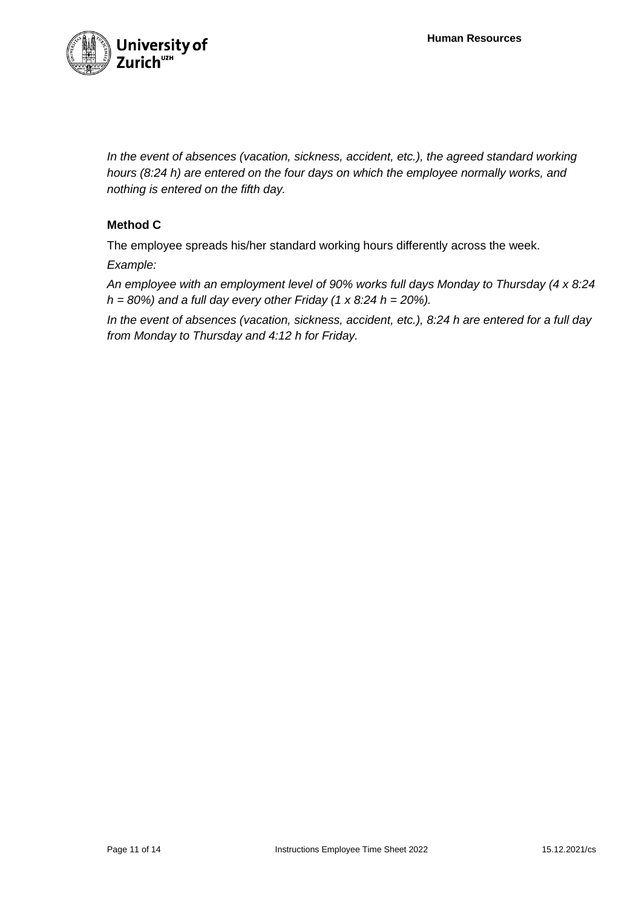

*In the event of absences (vacation, sickness, accident, etc.), the agreed standard working hours (8:24 h) are entered on the four days on which the employee normally works, and nothing is entered on the fifth day.*

# **Method C**

The employee spreads his/her standard working hours differently across the week.

*Example:*

*An employee with an employment level of 90% works full days Monday to Thursday (4 x 8:24 h = 80%) and a full day every other Friday (1 x 8:24 h = 20%).*

*In the event of absences (vacation, sickness, accident, etc.), 8:24 h are entered for a full day from Monday to Thursday and 4:12 h for Friday.*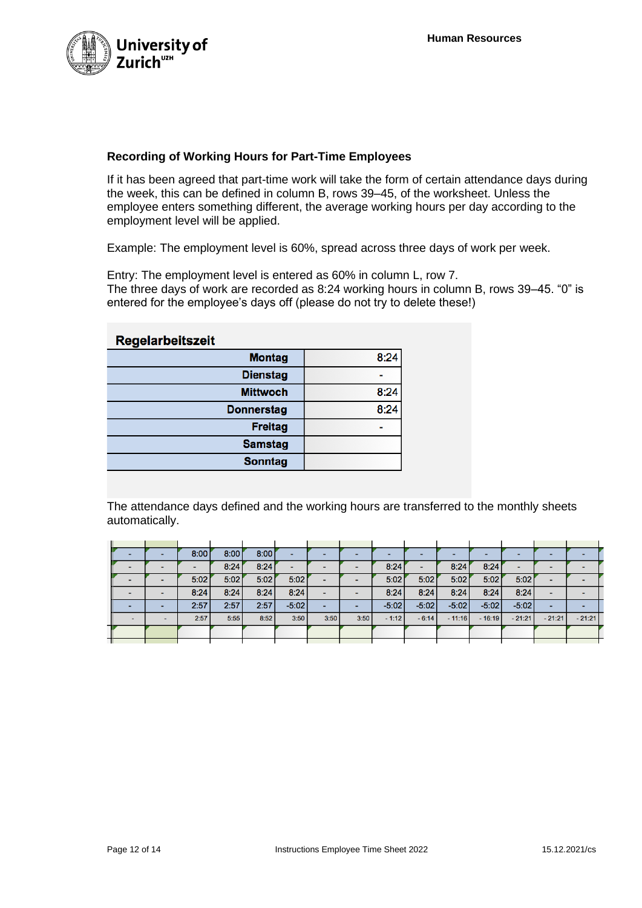

# **Recording of Working Hours for Part-Time Employees**

If it has been agreed that part-time work will take the form of certain attendance days during the week, this can be defined in column B, rows 39–45, of the worksheet. Unless the employee enters something different, the average working hours per day according to the employment level will be applied.

Example: The employment level is 60%, spread across three days of work per week.

Entry: The employment level is entered as 60% in column L, row 7. The three days of work are recorded as 8:24 working hours in column B, rows 39–45. "0" is entered for the employee's days off (please do not try to delete these!)

# **Regelarbeitszeit**

| 8:24 |
|------|
|      |
| 8:24 |
| 8:24 |
|      |
|      |
|      |
|      |

The attendance days defined and the working hours are transferred to the monthly sheets automatically.

|  | 8:00 | 8:00 | 8:00 | $\overline{\phantom{0}}$ |      |      | -       |         |          |          |          |          |          |  |
|--|------|------|------|--------------------------|------|------|---------|---------|----------|----------|----------|----------|----------|--|
|  |      | 8:24 | 8:24 | $\overline{\phantom{0}}$ |      |      | 8:24    |         | 8:24     | 8:24     |          |          |          |  |
|  | 5:02 | 5:02 | 5:02 | 5:02                     |      |      | 5:02    | 5:02    | 5:02     | 5:02     | 5:02     |          |          |  |
|  | 8:24 | 8:24 | 8:24 | 8:24                     |      |      | 8:24    | 8:24    | 8:24     | 8:24     | 8:24     |          |          |  |
|  | 2:57 | 2:57 | 2:57 | $-5:02$                  |      |      | $-5:02$ | $-5:02$ | $-5:02$  | $-5:02$  | $-5:02$  |          |          |  |
|  | 2:57 | 5:55 | 8:52 | 3:50                     | 3:50 | 3:50 | $-1:12$ | $-6:14$ | $-11:16$ | $-16:19$ | $-21:21$ | $-21:21$ | $-21:21$ |  |
|  |      |      |      |                          |      |      |         |         |          |          |          |          |          |  |
|  |      |      |      |                          |      |      |         |         |          |          |          |          |          |  |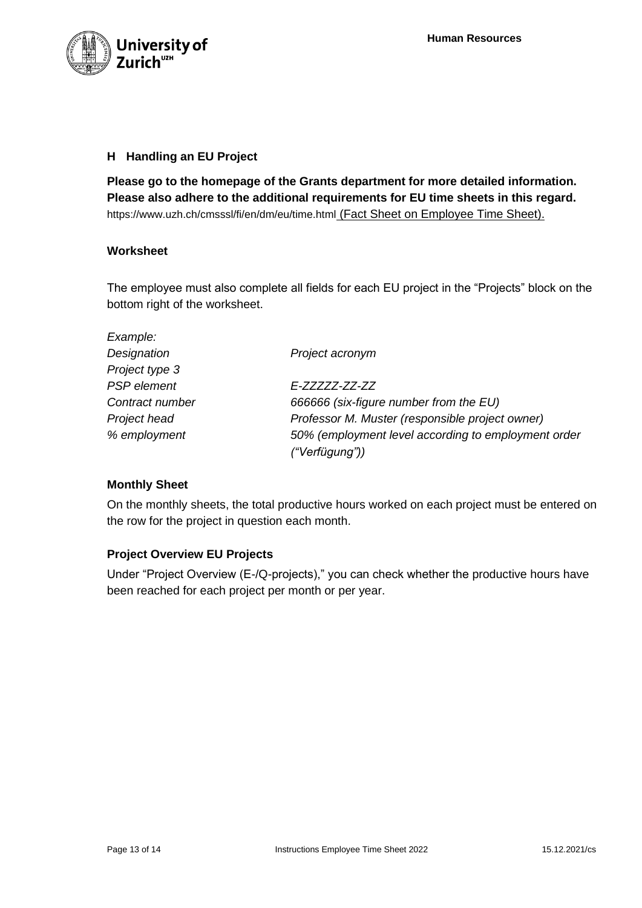

## **H Handling an EU Project**

**Please go to the homepage of the Grants department for more detailed information. Please also adhere to the additional requirements for EU time sheets in this regard.** https://www.uzh.ch/cmsssl/fi/en/dm/eu/time.html (Fact Sheet on Employee Time Sheet).

#### **Worksheet**

The employee must also complete all fields for each EU project in the "Projects" block on the bottom right of the worksheet.

| Example:        |                                                     |
|-----------------|-----------------------------------------------------|
| Designation     | Project acronym                                     |
| Project type 3  |                                                     |
| PSP element     | F-77777-77-77                                       |
| Contract number | 666666 (six-figure number from the EU)              |
| Project head    | Professor M. Muster (responsible project owner)     |
| % employment    | 50% (employment level according to employment order |
|                 | ("Verfügung"))                                      |

## **Monthly Sheet**

On the monthly sheets, the total productive hours worked on each project must be entered on the row for the project in question each month.

## **Project Overview EU Projects**

Under "Project Overview (E-/Q-projects)," you can check whether the productive hours have been reached for each project per month or per year.